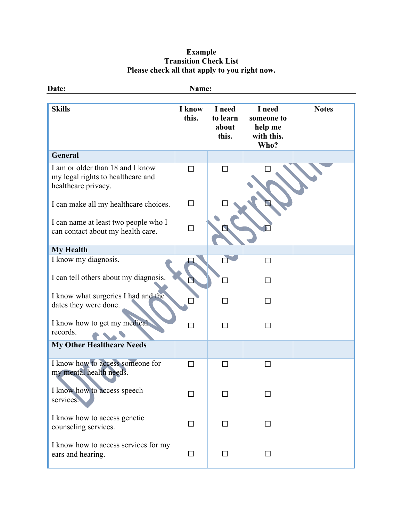## **Example Transition Check List Please check all that apply to you right now.**

| Date:                                                                                        | Name:           |                                      |                                                       |              |
|----------------------------------------------------------------------------------------------|-----------------|--------------------------------------|-------------------------------------------------------|--------------|
| <b>Skills</b>                                                                                | I know<br>this. | I need<br>to learn<br>about<br>this. | I need<br>someone to<br>help me<br>with this.<br>Who? | <b>Notes</b> |
| <b>General</b>                                                                               |                 |                                      |                                                       |              |
| I am or older than 18 and I know<br>my legal rights to healthcare and<br>healthcare privacy. | П               | П                                    |                                                       |              |
| I can make all my healthcare choices.                                                        | $\Box$          |                                      |                                                       |              |
| I can name at least two people who I<br>can contact about my health care.                    | $\Box$          |                                      |                                                       |              |
| <b>My Health</b>                                                                             |                 |                                      |                                                       |              |
| I know my diagnosis.                                                                         |                 |                                      | П                                                     |              |
| I can tell others about my diagnosis.                                                        |                 |                                      | П                                                     |              |
| I know what surgeries I had and the<br>dates they were done.                                 |                 |                                      | П                                                     |              |
| I know how to get my medical<br>records.                                                     | П               | П                                    | П                                                     |              |
| <b>My Other Healthcare Needs</b>                                                             |                 |                                      |                                                       |              |
| I know how to access someone for<br>my mental health needs.                                  | ΙI              |                                      | $\mathsf{L}$                                          |              |
| I know how to access speech<br>services.                                                     | П               |                                      | П                                                     |              |
| I know how to access genetic<br>counseling services.                                         | ΙI              |                                      |                                                       |              |
| I know how to access services for my<br>ears and hearing.                                    | □               | П                                    | П                                                     |              |